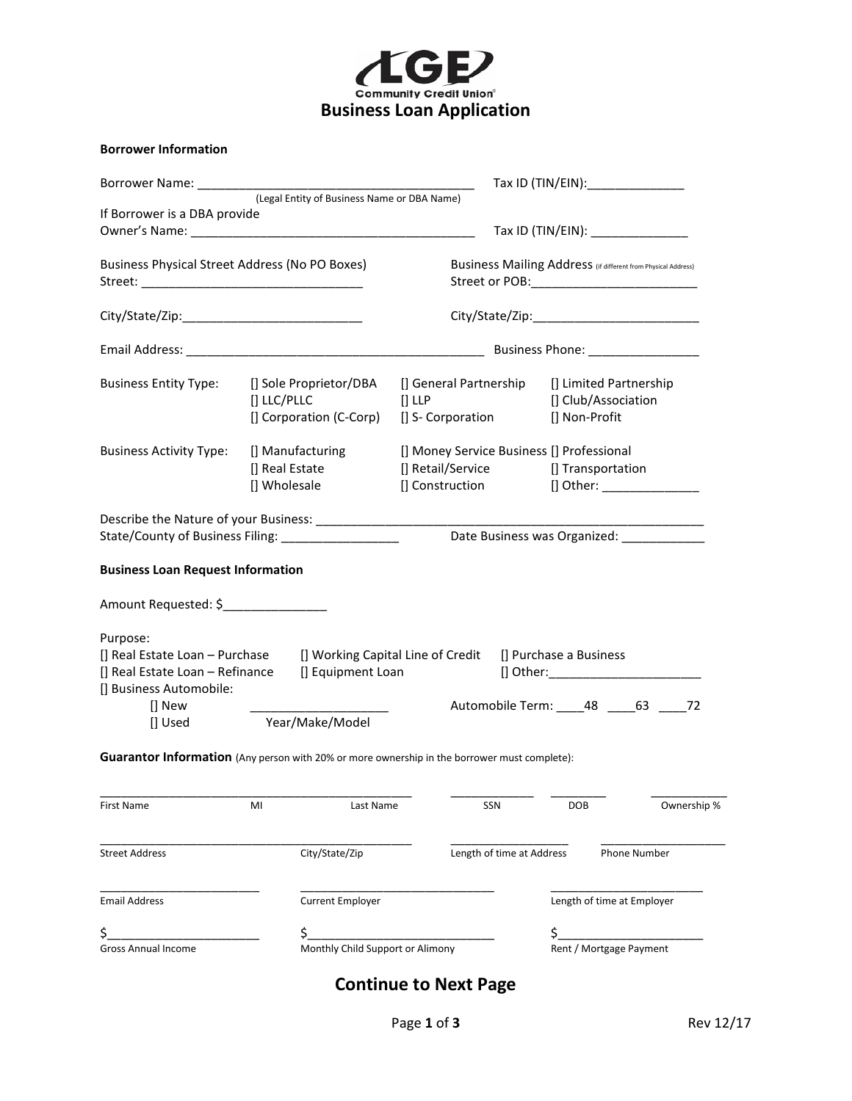

#### **Borrower Information**

| Borrower Name:                                                                                                                                                                                                                                                                                             |             |                                             |                                                               |                           |  |                                           | Tax ID (TIN/EIN): _________________                                                  |             |
|------------------------------------------------------------------------------------------------------------------------------------------------------------------------------------------------------------------------------------------------------------------------------------------------------------|-------------|---------------------------------------------|---------------------------------------------------------------|---------------------------|--|-------------------------------------------|--------------------------------------------------------------------------------------|-------------|
|                                                                                                                                                                                                                                                                                                            |             | (Legal Entity of Business Name or DBA Name) |                                                               |                           |  |                                           |                                                                                      |             |
| If Borrower is a DBA provide                                                                                                                                                                                                                                                                               |             |                                             |                                                               |                           |  |                                           |                                                                                      |             |
|                                                                                                                                                                                                                                                                                                            |             |                                             |                                                               |                           |  |                                           | Tax ID (TIN/EIN): _______________                                                    |             |
|                                                                                                                                                                                                                                                                                                            |             |                                             |                                                               |                           |  |                                           |                                                                                      |             |
| Business Physical Street Address (No PO Boxes)                                                                                                                                                                                                                                                             |             |                                             | Business Mailing Address (if different from Physical Address) |                           |  |                                           |                                                                                      |             |
|                                                                                                                                                                                                                                                                                                            |             |                                             |                                                               |                           |  |                                           |                                                                                      |             |
|                                                                                                                                                                                                                                                                                                            |             |                                             |                                                               |                           |  |                                           |                                                                                      |             |
|                                                                                                                                                                                                                                                                                                            |             |                                             |                                                               |                           |  |                                           |                                                                                      |             |
| <b>Business Entity Type:</b>                                                                                                                                                                                                                                                                               |             | [] Sole Proprietor/DBA                      | [] General Partnership                                        |                           |  |                                           | [] Limited Partnership                                                               |             |
|                                                                                                                                                                                                                                                                                                            | [] LLC/PLLC |                                             | $[]$ LLP                                                      |                           |  |                                           | [] Club/Association                                                                  |             |
|                                                                                                                                                                                                                                                                                                            |             | [] Corporation (C-Corp)                     | [] S- Corporation                                             |                           |  | [] Non-Profit                             |                                                                                      |             |
| <b>Business Activity Type:</b>                                                                                                                                                                                                                                                                             |             | [] Manufacturing                            |                                                               |                           |  | [] Money Service Business [] Professional |                                                                                      |             |
|                                                                                                                                                                                                                                                                                                            |             | [] Real Estate                              | [] Retail/Service                                             |                           |  |                                           | [] Transportation                                                                    |             |
|                                                                                                                                                                                                                                                                                                            |             | [] Wholesale                                | [] Construction                                               |                           |  |                                           | [] Other: _________________                                                          |             |
| State/County of Business Filing: __________________<br><b>Business Loan Request Information</b><br>Amount Requested: \$________________<br>Purpose:<br>[] Real Estate Loan - Purchase [] Working Capital Line of Credit<br>[] Real Estate Loan - Refinance<br>[] Business Automobile:<br>[] New<br>[] Used |             | [] Equipment Loan<br>Year/Make/Model        |                                                               |                           |  | [] Purchase a Business                    | Date Business was Organized: ______________<br>Automobile Term: _____48 _____63 ____ | 72          |
| Guarantor Information (Any person with 20% or more ownership in the borrower must complete):                                                                                                                                                                                                               |             |                                             |                                                               |                           |  |                                           |                                                                                      |             |
| First Name                                                                                                                                                                                                                                                                                                 | MI          | Last Name                                   |                                                               | SSN                       |  | DOB                                       |                                                                                      | Ownership % |
| <b>Street Address</b>                                                                                                                                                                                                                                                                                      |             | City/State/Zip                              |                                                               | Length of time at Address |  |                                           | Phone Number                                                                         |             |
| <b>Email Address</b>                                                                                                                                                                                                                                                                                       |             | <b>Current Employer</b>                     |                                                               |                           |  |                                           | Length of time at Employer                                                           |             |
| \$.                                                                                                                                                                                                                                                                                                        |             | \$                                          |                                                               |                           |  | \$                                        |                                                                                      |             |
| <b>Gross Annual Income</b>                                                                                                                                                                                                                                                                                 |             | Monthly Child Support or Alimony            |                                                               |                           |  |                                           | Rent / Mortgage Payment                                                              |             |
|                                                                                                                                                                                                                                                                                                            |             |                                             |                                                               |                           |  |                                           |                                                                                      |             |

# **Continue to Next Page**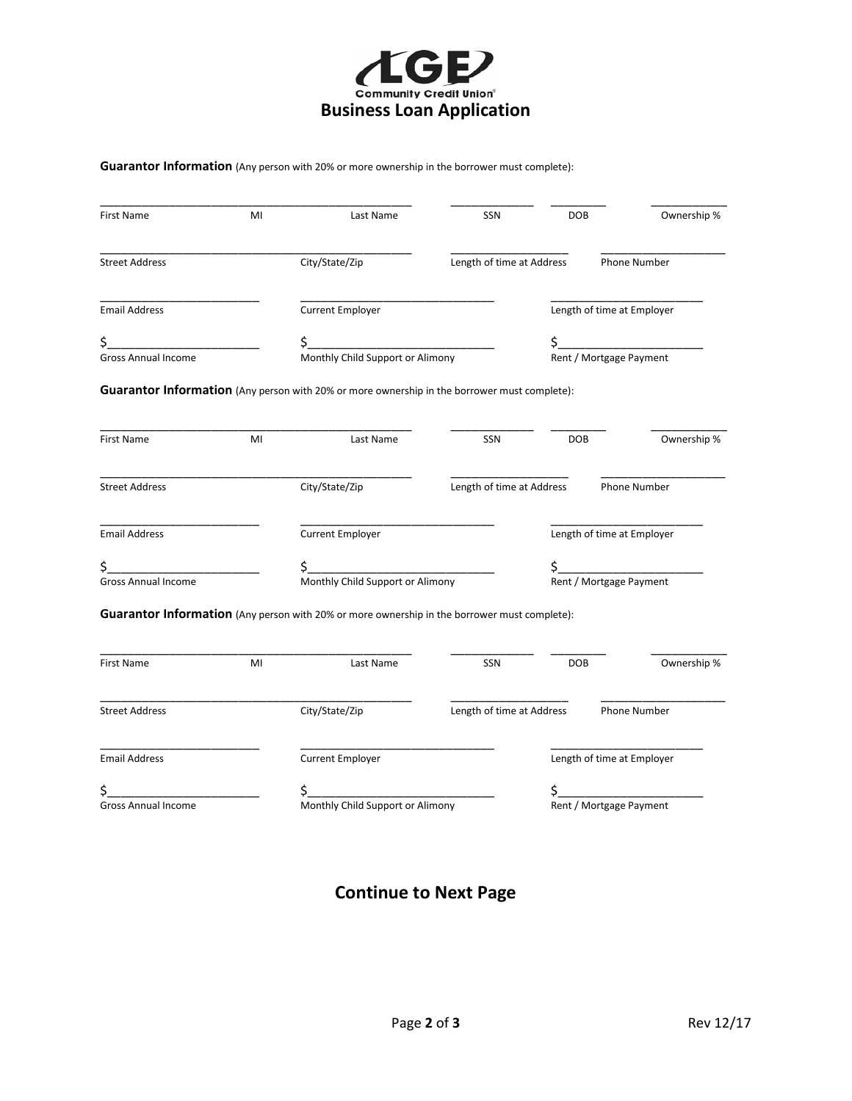

**Guarantor Information** (Any person with 20% or more ownership in the borrower must complete):

| First Name                 | MI | Last Name                                                                                                 | SSN                        | DOB                     | Ownership %                   |  |  |
|----------------------------|----|-----------------------------------------------------------------------------------------------------------|----------------------------|-------------------------|-------------------------------|--|--|
| <b>Street Address</b>      |    | City/State/Zip                                                                                            | Length of time at Address  |                         | <b>Phone Number</b>           |  |  |
| <b>Email Address</b>       |    | <b>Current Employer</b>                                                                                   |                            |                         | Length of time at Employer    |  |  |
| \$.                        |    |                                                                                                           |                            | \$                      |                               |  |  |
| Gross Annual Income        |    |                                                                                                           |                            |                         | \$<br>Rent / Mortgage Payment |  |  |
| <b>First Name</b>          | MI | Guarantor Information (Any person with 20% or more ownership in the borrower must complete):<br>Last Name | SSN                        | <b>DOB</b>              | Ownership %                   |  |  |
|                            |    |                                                                                                           |                            |                         |                               |  |  |
| <b>Street Address</b>      |    | City/State/Zip                                                                                            | Length of time at Address  |                         | Phone Number                  |  |  |
| <b>Email Address</b>       |    | <b>Current Employer</b>                                                                                   |                            |                         | Length of time at Employer    |  |  |
| \$_                        |    |                                                                                                           |                            |                         |                               |  |  |
| Gross Annual Income        |    | Monthly Child Support or Alimony                                                                          |                            |                         | \$<br>Rent / Mortgage Payment |  |  |
|                            |    | Guarantor Information (Any person with 20% or more ownership in the borrower must complete):              |                            |                         |                               |  |  |
| First Name                 | MI | Last Name                                                                                                 | SSN                        | <b>DOB</b>              | Ownership %                   |  |  |
| <b>Street Address</b>      |    | City/State/Zip                                                                                            | Length of time at Address  |                         | Phone Number                  |  |  |
| <b>Email Address</b>       |    | <b>Current Employer</b>                                                                                   | Length of time at Employer |                         |                               |  |  |
| \$.                        |    |                                                                                                           |                            | \$                      |                               |  |  |
| <b>Gross Annual Income</b> |    | Monthly Child Support or Alimony                                                                          |                            | Rent / Mortgage Payment |                               |  |  |

# **Continue to Next Page**